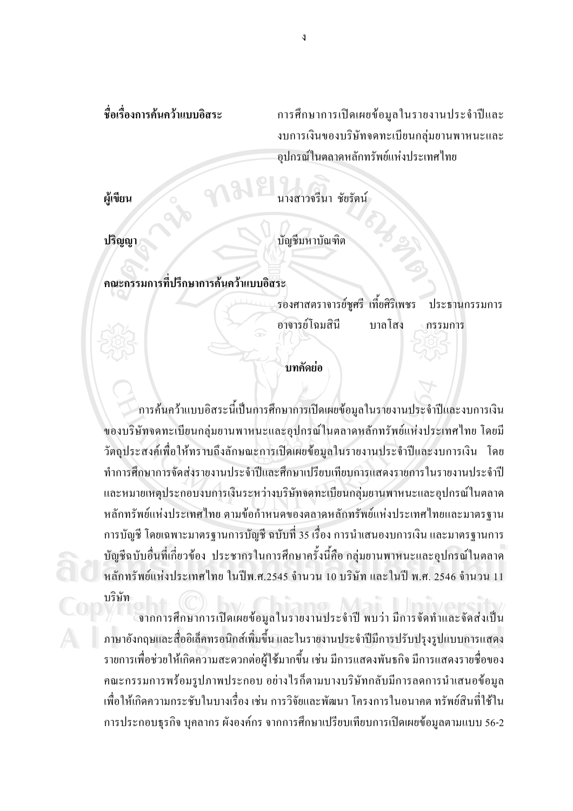การศึกษาการเปิดเผยข้อมูลในรายงานประจำปีและ งบการเงินของบริษัทจดทะเบียนกลุ่มยานพาหนะและ อปกรณ์ในตลาดหลักทรัพย์แห่งประเทศไทย

ผู้เขียน

นางสาวจรีนา ชัยรัตน์

ปริญญา

บัญชีมหาบัณฑิต

็ดณะกรรมการที่ปรึกษาการค้นคว้าแบบคิสระ

รองศาสตราจารย์ชูศรี เที้ยศิริเพชร ประธานกรรมการ คาจารย์โฉมสิบี บาลโสง กรรมการ

## บทคัดย่อ

้การค้นคว้าแบบอิสระนี้เป็นการศึกษาการเปิดเผยข้อมูลในรายงานประจำปีและงบการเงิน ของบริษัทจดทะเบียนกลุ่มยานพาหนะและอุปกรณ์ในตลาดหลักทรัพย์แห่งประเทศไทย โดยมี วัตถุประสงค์เพื่อให้ทราบถึงลักษณะการเปิดเผยข้อมูลในรายงานประจำปีและงบการเงิน โดย ทำการศึกษาการจัดส่งรายงานประจำปีและศึกษาเปรียบเทียบการแสดงรายการในรายงานประจำปี และหมายเหตุประกอบงบการเงินระหว่างบริษัทจดทะเบียนกลุ่มยานพาหนะและอุปกรณ์ในตลาด หลักทรัพย์แห่งประเทศไทย ตามข้อกำหนดของตลาดหลักทรัพย์แห่งประเทศไทยและมาตรฐาน ึการบัญชี โดยเฉพาะมาตรฐานการบัญชี ฉบับที่ 35 เรื่อง การนำเสนองบการเงิน และมาตรฐานการ บัญชีฉบับอื่นที่เกี่ยวข้อง ประชากรในการศึกษาครั้งนี้คือ กลุ่มยานพาหนะและอุปกรณ์ในตลาด หลักทรัพย์แห่งประเทศไทย ในปีพ.ศ.2545 จำนวน 10 บริษัท และในปี พ.ศ. 2546 จำนวน 11 บริษัท

้จากการศึกษาการเปิดเผยข้อมูลในรายงานประจำปี พบว่า มีการจัดทำและจัดส่งเป็น ภาษาอังกฤษและสื่ออิเล็คทรอนิกส์เพิ่มขึ้น และในรายงานประจำปีมีการปรับปรุงรูปแบบการแสดง รายการเพื่อช่วยให้เกิดความสะดวกต่อผู้ใช้มากขึ้น เช่น มีการแสดงพันธกิจ มีการแสดงรายชื่อของ ึคณะกรรมการพร้อมรูปภาพประกอบ อย่างใรก็ตามบางบริษัทกลับมีการลดการนำเสนอข้อมูล ้เพื่อให้เกิดความกระชับในบางเรื่อง เช่น การวิจัยและพัฒนา โครงการในอนาคต ทรัพย์สินที่ใช้ใน ึการประกอบธุรกิจ บุคลากร ผังองค์กร จากการศึกษาเปรียบเทียบการเปิดเผยข้อมูลตามแบบ 56-2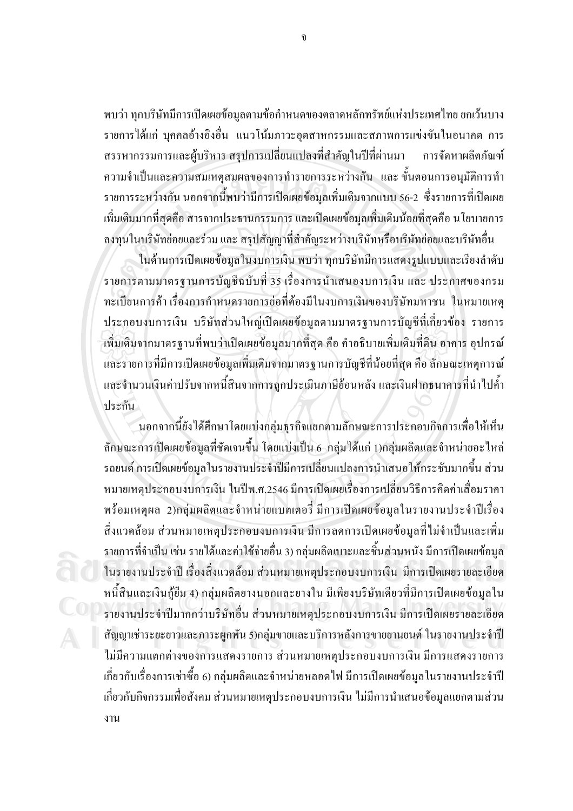ี พบว่า ทุกบริษัทมีการเปิดเผยข้อมูลตามข้อกำหนดของตลาดหลักทรัพย์แห่งประเทศไทย ยกเว้นบาง รายการได้แก่ บุคคลอ้างอิงอื่น แนวโน้มภาวะอุตสาหกรรมและสภาพการแข่งขันในอนาคต การ ิสรรหากรรมการและผู้บริหาร สรุปการเปลี่ยนแปลงที่สำคัญในปีที่ผ่านมา การจัดหาผลิตภัณฑ์ ความจำเป็นและความสมเหตุสมผลของการทำรายการระหว่างกัน และ ขั้นตอนการอนุมัติการทำ ้รายการระหว่างกัน นอกจากนี้พบว่ามีการเปิดเผยข้อมูลเพิ่มเติมจากแบบ 56-2 ซึ่งรายการที่เปิดเผย ้เพิ่มเติมมากที่สุดคือ สารจากประธานกรรมการ และเปิดเผยข้อมูลเพิ่มเติมน้อยที่สุดคือ นโยบายการ ิลงทุนในบริษัทย่อยและร่วม และ สรุปสัญญาที่สำคัญระหว่างบริษัทหรือบริษัทย่อยและบริษัทอื่น

ในด้านการเปิดเผยข้อมูลในงบการเงิน พบว่า ทุกบริษัทมีการแสดงรูปแบบและเรียงลำดับ ้รายการตามมาตรฐานการบัญชีฉบับที่ 35 เรื่องการนำเสนองบการเงิน และ ประกาศของกรม ทะเบียนการค้า เรื่องการกำหนดรายการย่อที่ต้องมีในงบการเงินของบริษัทมหาชน ในหมายเหต ประกอบงบการเงิน บริษัทส่วนใหญ่เปิดเผยข้อมูลตามมาตรฐานการบัญชีที่เกี่ยวข้อง รายการ ้เพิ่มเติมจากมาตรฐานที่พบว่าเปิดเผยข้อมูลมากที่สุด คือ คำอธิบายเพิ่มเติมที่ดิน อาคาร อุปกรณ์ และรายการที่มีการเปิดเผยข้อมูลเพิ่มเติมจากมาตรฐานการบัญชีที่น้อยที่สุด คือ ลักษณะเหตุการณ์ และจำนวนเงินค่าปรับจากหนี้สินจากการถูกประเมินภาษีย้อนหลัง และเงินฝากธนาคารที่นำไปค้ำ ประกัน

้นอกจากนี้ยังได้ศึกษาโดยแบ่งกล่มธรกิจแยกตามลักษณะการประกอบกิจการเพื่อให้เห็น ี ลักษณะการเปิดเผยข้อมูลที่ชัดเจนขึ้น โดยแบ่งเป็น 6-กลุ่มได้แก่ 1)กลุ่มผลิตและจำหน่ายอะไหล่ ้รถยนต์ การเปิดเผยข้อมูลในรายงานประจำปีมีการเปลี่ยนแปลงการนำเสนอให้กระชับมากขึ้น ส่วน หมายเหตุประกอบงบการเงิน ในปีพ.ศ.2546 มีการเปิดเผยเรื่องการเปลี่ยนวิธีการคิดค่าเสื่อมราคา พร้อมเหตุผล 2)กลุ่มผลิตและจำหน่ายแบตเตอรี่ มีการเปิดเผยข้อมูลในรายงานประจำปีเรื่อง ้สิ่งแวดล้อม ส่วนหมายเหตุประกอบงบการเงิน มีการลดการเปิดเผยข้อมูลที่ไม่จำเป็นและเพิ่ม รายการที่จำเป็น เช่น รายได้และค่าใช้จ่ายอื่น 3) กลุ่มผลิตเบาะและชิ้นส่วนหนัง มีการเปิดเผยข้อมูล ในรายงานประจำปี เรื่องสิ่งแวดล้อม ส่วนหมายเหตุประกอบงบการเงิน มีการเปิดเผยรายละเอียด หนี้สินและเงินกู้ยืม 4) กลุ่มผลิตยางนอกและยางใน มีเพียงบริษัทเดียวที่มีการเปิดเผยข้อมูลใน รายงานประจำปีมากกว่าบริษัทอื่น ส่วนหมายเหตุประกอบงบการเงิน มีการเปิดเผยรายละเอียด ้สัญญาเช่าระยะยาวและภาระผูกพัน 5)กลุ่มขายและบริการหลังการขายยานยนต์ ในรายงานประจำปี ใม่มีความแตกต่างของการแสดงรายการ ส่วนหมายเหตุประกอบงบการเงิน มีการแสดงรายการ ้ เกี่ยวกับเรื่องการเช่าซื้อ 6) กลุ่มผลิตและจำหน่ายหลอดไฟ มีการเปิดเผยข้อมูลในรายงานประจำปี ้เกี่ยวกับกิจกรรมเพื่อสังคม ส่วนหมายเหตุประกอบงบการเงิน ไม่มีการนำเสนอข้อมูลแยกตามส่วน งาน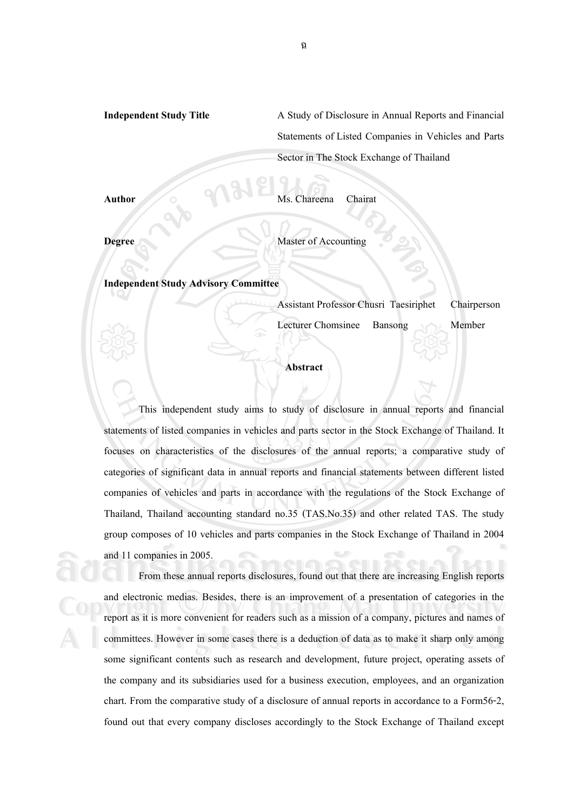**Independent Study Title** A Study of Disclosure in Annual Reports and Financial Statements of Listed Companies in Vehicles and Parts Sector in The Stock Exchange of Thailand

**Author** Ms. Chareena Chairat

**Degree** Master of Accounting

**Independent Study Advisory Committee**

Assistant Professor Chusri Taesiriphet Chairperson

Lecturer Chomsinee Bansong Member

## **Abstract**

This independent study aims to study of disclosure in annual reports and financial statements of listed companies in vehicles and parts sector in the Stock Exchange of Thailand. It focuses on characteristics of the disclosures of the annual reports; a comparative study of categories of significant data in annual reports and financial statements between different listed companies of vehicles and parts in accordance with the regulations of the Stock Exchange of Thailand, Thailand accounting standard no.35 (TAS.No.35) and other related TAS. The study group composes of 10 vehicles and parts companies in the Stock Exchange of Thailand in 2004 and 11 companies in 2005.

From these annual reports disclosures, found out that there are increasing English reports and electronic medias. Besides, there is an improvement of a presentation of categories in the report as it is more convenient for readers such as a mission of a company, pictures and names of and electronic medias. Besides, there is an improvement of a presentation of categories in the report as it is more convenient for readers such as a mission of a company, pictures and names of committees. However in some cases there is a deduction of data as to make it sharp only among some significant contents such as research and development, future project, operating assets of the company and its subsidiaries used for a business execution, employees, and an organization chart. From the comparative study of a disclosure of annual reports in accordance to a Form56-2, found out that every company discloses accordingly to the Stock Exchange of Thailand except and 11 companies in 2005.<br>
From these annual reports disclosures, found out that there are increasing English reports<br>
and electronic medias. Besides, there is an improvement of a presentation of categories in the committees. However in some cases there is a deduction of data as to make it sharp only among<br>some significant contents such as research and development future project operating assets of